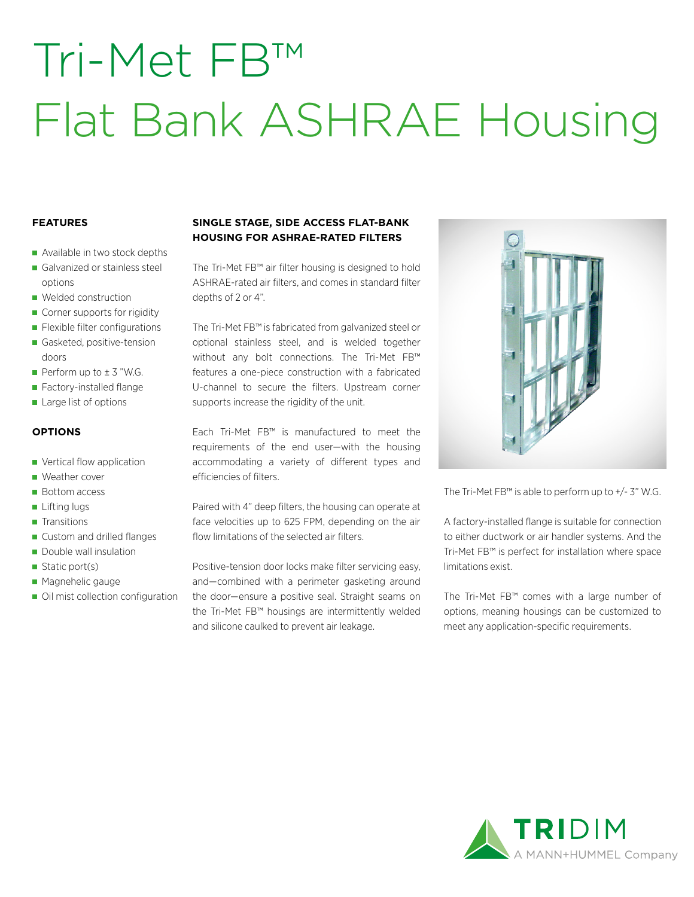# Tri-Met FB™ Flat Bank ASHRAE Housing

### **FEATURES**

- Available in two stock depths
- Galvanized or stainless steel options
- **Welded construction**
- Corner supports for rigidity
- **Flexible filter configurations**
- Gasketed, positive-tension doors
- Perform up to  $\pm$  3 "W.G.
- Factory-installed flange
- Large list of options

### **OPTIONS**

- **Vertical flow application**
- Weather cover
- **Bottom access**
- **Lifting lugs**
- **Transitions**
- Custom and drilled flanges
- Double wall insulation
- Static port(s)
- **Magnehelic gauge**
- Oil mist collection configuration

## **SINGLE STAGE, SIDE ACCESS FLAT-BANK HOUSING FOR ASHRAE-RATED FILTERS**

The Tri-Met FB™ air filter housing is designed to hold ASHRAE-rated air filters, and comes in standard filter depths of 2 or 4".

The Tri-Met FB™ is fabricated from galvanized steel or optional stainless steel, and is welded together without any bolt connections. The Tri-Met FB™ features a one-piece construction with a fabricated U-channel to secure the filters. Upstream corner supports increase the rigidity of the unit.

Each Tri-Met FB™ is manufactured to meet the requirements of the end user—with the housing accommodating a variety of different types and efficiencies of filters.

Paired with 4" deep filters, the housing can operate at face velocities up to 625 FPM, depending on the air flow limitations of the selected air filters.

Positive-tension door locks make filter servicing easy, and—combined with a perimeter gasketing around the door—ensure a positive seal. Straight seams on the Tri-Met FB™ housings are intermittently welded and silicone caulked to prevent air leakage.



The Tri-Met FB™ is able to perform up to +/- 3" W.G.

A factory-installed flange is suitable for connection to either ductwork or air handler systems. And the Tri-Met FB™ is perfect for installation where space limitations exist.

The Tri-Met FB™ comes with a large number of options, meaning housings can be customized to meet any application-specific requirements.